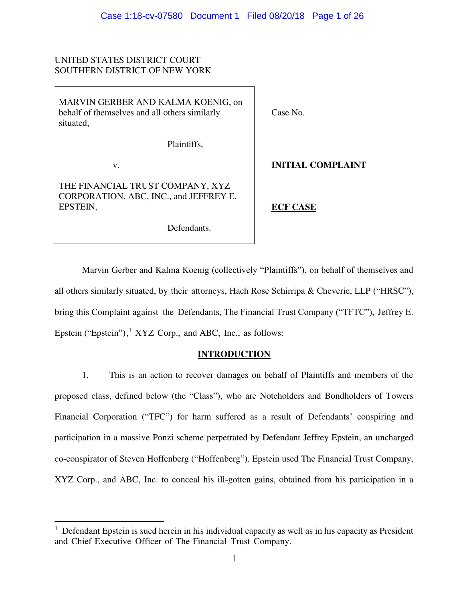# UNITED STATES DISTRICT COURT SOUTHERN DISTRICT OF NEW YORK

MARVIN GERBER AND KALMA KOENIG, on behalf of themselves and all others similarly situated,

Plaintiffs,

Defendants.

v.

 $\overline{a}$ 

THE FINANCIAL TRUST COMPANY, XYZ CORPORATION, ABC, INC., and JEFFREY E. EPSTEIN,

Case No.

**INITIAL COMPLAINT** 

**ECF CASE**

Marvin Gerber and Kalma Koenig (collectively "Plaintiffs"), on behalf of themselves and all others similarly situated, by their attorneys, Hach Rose Schirripa & Cheverie, LLP ("HRSC"), bring this Complaint against the Defendants, The Financial Trust Company ("TFTC"), Jeffrey E. Epstein ("Epstein"), $<sup>1</sup> XYZ Corp.$ , and ABC, Inc., as follows:</sup>

# **INTRODUCTION**

1. This is an action to recover damages on behalf of Plaintiffs and members of the proposed class, defined below (the "Class"), who are Noteholders and Bondholders of Towers Financial Corporation ("TFC") for harm suffered as a result of Defendants' conspiring and participation in a massive Ponzi scheme perpetrated by Defendant Jeffrey Epstein, an uncharged co-conspirator of Steven Hoffenberg ("Hoffenberg"). Epstein used The Financial Trust Company, XYZ Corp., and ABC, Inc. to conceal his ill-gotten gains, obtained from his participation in a

<sup>&</sup>lt;sup>1</sup> Defendant Epstein is sued herein in his individual capacity as well as in his capacity as President and Chief Executive Officer of The Financial Trust Company.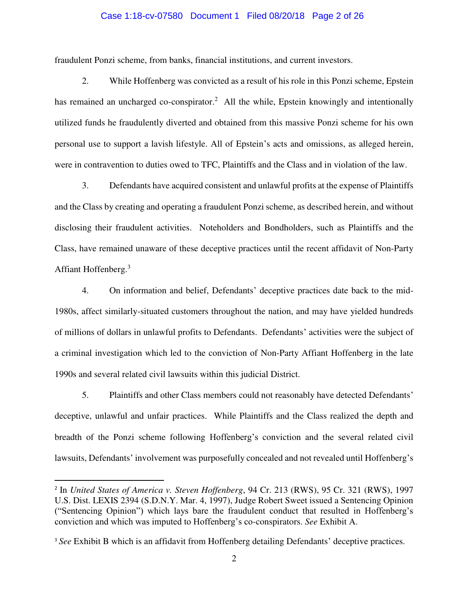#### Case 1:18-cv-07580 Document 1 Filed 08/20/18 Page 2 of 26

fraudulent Ponzi scheme, from banks, financial institutions, and current investors.

2. While Hoffenberg was convicted as a result of his role in this Ponzi scheme, Epstein has remained an uncharged co-conspirator.<sup>2</sup> All the while, Epstein knowingly and intentionally utilized funds he fraudulently diverted and obtained from this massive Ponzi scheme for his own personal use to support a lavish lifestyle. All of Epstein's acts and omissions, as alleged herein, were in contravention to duties owed to TFC, Plaintiffs and the Class and in violation of the law.

3. Defendants have acquired consistent and unlawful profits at the expense of Plaintiffs and the Class by creating and operating a fraudulent Ponzi scheme, as described herein, and without disclosing their fraudulent activities. Noteholders and Bondholders, such as Plaintiffs and the Class, have remained unaware of these deceptive practices until the recent affidavit of Non-Party Affiant Hoffenberg.<sup>3</sup>

4. On information and belief, Defendants' deceptive practices date back to the mid-1980s, affect similarly-situated customers throughout the nation, and may have yielded hundreds of millions of dollars in unlawful profits to Defendants. Defendants' activities were the subject of a criminal investigation which led to the conviction of Non-Party Affiant Hoffenberg in the late 1990s and several related civil lawsuits within this judicial District.

5. Plaintiffs and other Class members could not reasonably have detected Defendants' deceptive, unlawful and unfair practices. While Plaintiffs and the Class realized the depth and breadth of the Ponzi scheme following Hoffenberg's conviction and the several related civil lawsuits, Defendants' involvement was purposefully concealed and not revealed until Hoffenberg's

 $\overline{a}$ 

<sup>2</sup> In *United States of America v. Steven Hoffenberg*, 94 Cr. 213 (RWS), 95 Cr. 321 (RWS), 1997 U.S. Dist. LEXIS 2394 (S.D.N.Y. Mar. 4, 1997), Judge Robert Sweet issued a Sentencing Opinion ("Sentencing Opinion") which lays bare the fraudulent conduct that resulted in Hoffenberg's conviction and which was imputed to Hoffenberg's co-conspirators. *See* Exhibit A.

<sup>&</sup>lt;sup>3</sup> See Exhibit B which is an affidavit from Hoffenberg detailing Defendants' deceptive practices.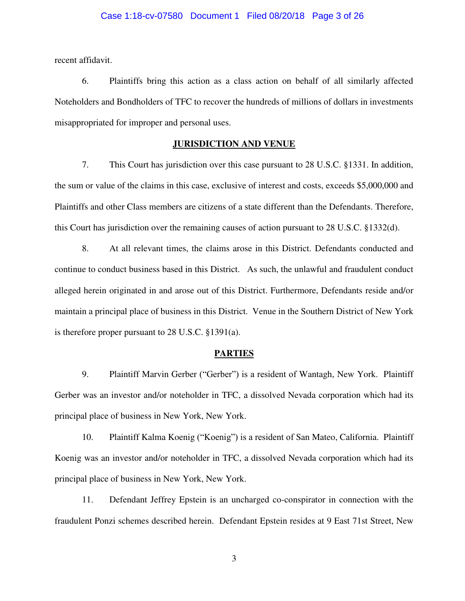recent affidavit.

6. Plaintiffs bring this action as a class action on behalf of all similarly affected Noteholders and Bondholders of TFC to recover the hundreds of millions of dollars in investments misappropriated for improper and personal uses.

## **JURISDICTION AND VENUE**

7. This Court has jurisdiction over this case pursuant to 28 U.S.C. §1331. In addition, the sum or value of the claims in this case, exclusive of interest and costs, exceeds \$5,000,000 and Plaintiffs and other Class members are citizens of a state different than the Defendants. Therefore, this Court has jurisdiction over the remaining causes of action pursuant to 28 U.S.C. §1332(d).

8. At all relevant times, the claims arose in this District. Defendants conducted and continue to conduct business based in this District. As such, the unlawful and fraudulent conduct alleged herein originated in and arose out of this District. Furthermore, Defendants reside and/or maintain a principal place of business in this District. Venue in the Southern District of New York is therefore proper pursuant to 28 U.S.C. §1391(a).

#### **PARTIES**

9. Plaintiff Marvin Gerber ("Gerber") is a resident of Wantagh, New York. Plaintiff Gerber was an investor and/or noteholder in TFC, a dissolved Nevada corporation which had its principal place of business in New York, New York.

10. Plaintiff Kalma Koenig ("Koenig") is a resident of San Mateo, California. Plaintiff Koenig was an investor and/or noteholder in TFC, a dissolved Nevada corporation which had its principal place of business in New York, New York.

11. Defendant Jeffrey Epstein is an uncharged co-conspirator in connection with the fraudulent Ponzi schemes described herein. Defendant Epstein resides at 9 East 71st Street, New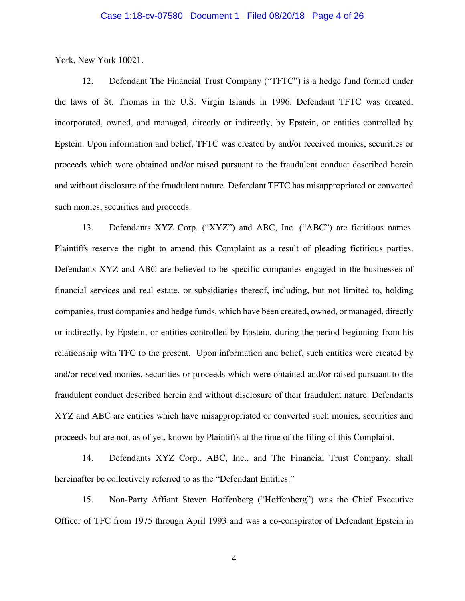### Case 1:18-cv-07580 Document 1 Filed 08/20/18 Page 4 of 26

York, New York 10021.

12. Defendant The Financial Trust Company ("TFTC") is a hedge fund formed under the laws of St. Thomas in the U.S. Virgin Islands in 1996. Defendant TFTC was created, incorporated, owned, and managed, directly or indirectly, by Epstein, or entities controlled by Epstein. Upon information and belief, TFTC was created by and/or received monies, securities or proceeds which were obtained and/or raised pursuant to the fraudulent conduct described herein and without disclosure of the fraudulent nature. Defendant TFTC has misappropriated or converted such monies, securities and proceeds.

13. Defendants XYZ Corp. ("XYZ") and ABC, Inc. ("ABC") are fictitious names. Plaintiffs reserve the right to amend this Complaint as a result of pleading fictitious parties. Defendants XYZ and ABC are believed to be specific companies engaged in the businesses of financial services and real estate, or subsidiaries thereof, including, but not limited to, holding companies, trust companies and hedge funds, which have been created, owned, or managed, directly or indirectly, by Epstein, or entities controlled by Epstein, during the period beginning from his relationship with TFC to the present. Upon information and belief, such entities were created by and/or received monies, securities or proceeds which were obtained and/or raised pursuant to the fraudulent conduct described herein and without disclosure of their fraudulent nature. Defendants XYZ and ABC are entities which have misappropriated or converted such monies, securities and proceeds but are not, as of yet, known by Plaintiffs at the time of the filing of this Complaint.

14. Defendants XYZ Corp., ABC, Inc., and The Financial Trust Company, shall hereinafter be collectively referred to as the "Defendant Entities."

15. Non-Party Affiant Steven Hoffenberg ("Hoffenberg") was the Chief Executive Officer of TFC from 1975 through April 1993 and was a co-conspirator of Defendant Epstein in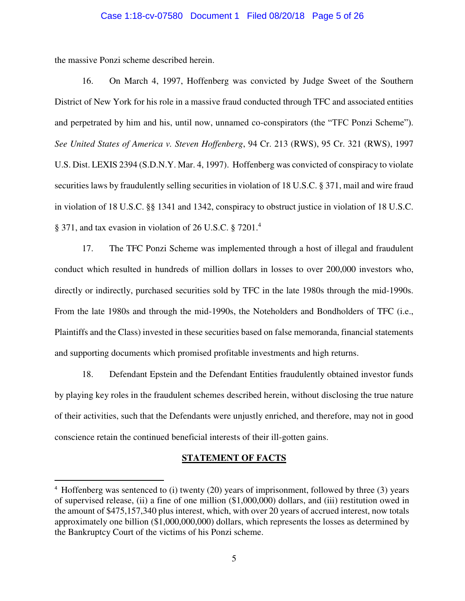### Case 1:18-cv-07580 Document 1 Filed 08/20/18 Page 5 of 26

the massive Ponzi scheme described herein.

 $\overline{a}$ 

16. On March 4, 1997, Hoffenberg was convicted by Judge Sweet of the Southern District of New York for his role in a massive fraud conducted through TFC and associated entities and perpetrated by him and his, until now, unnamed co-conspirators (the "TFC Ponzi Scheme"). *See United States of America v. Steven Hoffenberg*, 94 Cr. 213 (RWS), 95 Cr. 321 (RWS), 1997 U.S. Dist. LEXIS 2394 (S.D.N.Y. Mar. 4, 1997). Hoffenberg was convicted of conspiracy to violate securities laws by fraudulently selling securities in violation of 18 U.S.C. § 371, mail and wire fraud in violation of 18 U.S.C. §§ 1341 and 1342, conspiracy to obstruct justice in violation of 18 U.S.C. § 371, and tax evasion in violation of 26 U.S.C. § 7201.<sup>4</sup>

17. The TFC Ponzi Scheme was implemented through a host of illegal and fraudulent conduct which resulted in hundreds of million dollars in losses to over 200,000 investors who, directly or indirectly, purchased securities sold by TFC in the late 1980s through the mid-1990s. From the late 1980s and through the mid-1990s, the Noteholders and Bondholders of TFC (i.e., Plaintiffs and the Class) invested in these securities based on false memoranda, financial statements and supporting documents which promised profitable investments and high returns.

18. Defendant Epstein and the Defendant Entities fraudulently obtained investor funds by playing key roles in the fraudulent schemes described herein, without disclosing the true nature of their activities, such that the Defendants were unjustly enriched, and therefore, may not in good conscience retain the continued beneficial interests of their ill-gotten gains.

#### **STATEMENT OF FACTS**

<sup>4</sup> Hoffenberg was sentenced to (i) twenty (20) years of imprisonment, followed by three (3) years of supervised release, (ii) a fine of one million (\$1,000,000) dollars, and (iii) restitution owed in the amount of \$475,157,340 plus interest, which, with over 20 years of accrued interest, now totals approximately one billion (\$1,000,000,000) dollars, which represents the losses as determined by the Bankruptcy Court of the victims of his Ponzi scheme.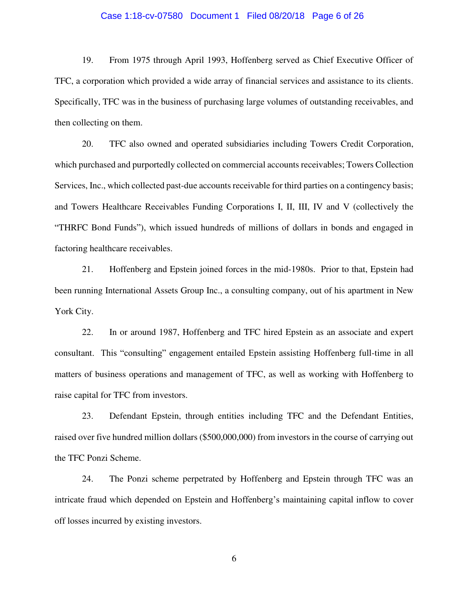### Case 1:18-cv-07580 Document 1 Filed 08/20/18 Page 6 of 26

19. From 1975 through April 1993, Hoffenberg served as Chief Executive Officer of TFC, a corporation which provided a wide array of financial services and assistance to its clients. Specifically, TFC was in the business of purchasing large volumes of outstanding receivables, and then collecting on them.

20. TFC also owned and operated subsidiaries including Towers Credit Corporation, which purchased and purportedly collected on commercial accounts receivables; Towers Collection Services, Inc., which collected past-due accounts receivable for third parties on a contingency basis; and Towers Healthcare Receivables Funding Corporations I, II, III, IV and V (collectively the "THRFC Bond Funds"), which issued hundreds of millions of dollars in bonds and engaged in factoring healthcare receivables.

21. Hoffenberg and Epstein joined forces in the mid-1980s. Prior to that, Epstein had been running International Assets Group Inc., a consulting company, out of his apartment in New York City.

22. In or around 1987, Hoffenberg and TFC hired Epstein as an associate and expert consultant. This "consulting" engagement entailed Epstein assisting Hoffenberg full-time in all matters of business operations and management of TFC, as well as working with Hoffenberg to raise capital for TFC from investors.

23. Defendant Epstein, through entities including TFC and the Defendant Entities, raised over five hundred million dollars (\$500,000,000) from investors in the course of carrying out the TFC Ponzi Scheme.

24. The Ponzi scheme perpetrated by Hoffenberg and Epstein through TFC was an intricate fraud which depended on Epstein and Hoffenberg's maintaining capital inflow to cover off losses incurred by existing investors.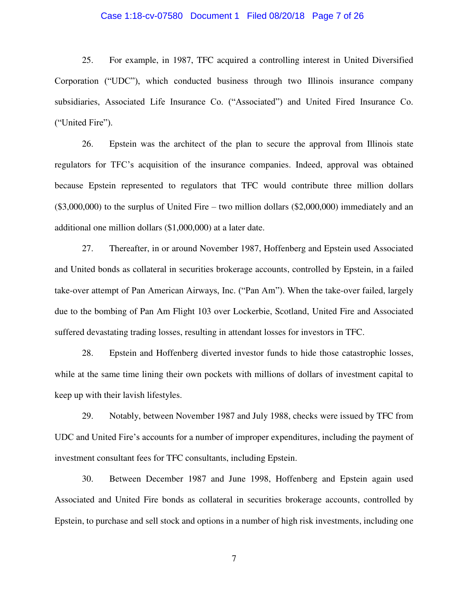### Case 1:18-cv-07580 Document 1 Filed 08/20/18 Page 7 of 26

25. For example, in 1987, TFC acquired a controlling interest in United Diversified Corporation ("UDC"), which conducted business through two Illinois insurance company subsidiaries, Associated Life Insurance Co. ("Associated") and United Fired Insurance Co. ("United Fire").

26. Epstein was the architect of the plan to secure the approval from Illinois state regulators for TFC's acquisition of the insurance companies. Indeed, approval was obtained because Epstein represented to regulators that TFC would contribute three million dollars  $(\$3,000,000)$  to the surplus of United Fire – two million dollars  $(\$2,000,000)$  immediately and an additional one million dollars (\$1,000,000) at a later date.

27. Thereafter, in or around November 1987, Hoffenberg and Epstein used Associated and United bonds as collateral in securities brokerage accounts, controlled by Epstein, in a failed take-over attempt of Pan American Airways, Inc. ("Pan Am"). When the take-over failed, largely due to the bombing of Pan Am Flight 103 over Lockerbie, Scotland, United Fire and Associated suffered devastating trading losses, resulting in attendant losses for investors in TFC.

28. Epstein and Hoffenberg diverted investor funds to hide those catastrophic losses, while at the same time lining their own pockets with millions of dollars of investment capital to keep up with their lavish lifestyles.

29. Notably, between November 1987 and July 1988, checks were issued by TFC from UDC and United Fire's accounts for a number of improper expenditures, including the payment of investment consultant fees for TFC consultants, including Epstein.

30. Between December 1987 and June 1998, Hoffenberg and Epstein again used Associated and United Fire bonds as collateral in securities brokerage accounts, controlled by Epstein, to purchase and sell stock and options in a number of high risk investments, including one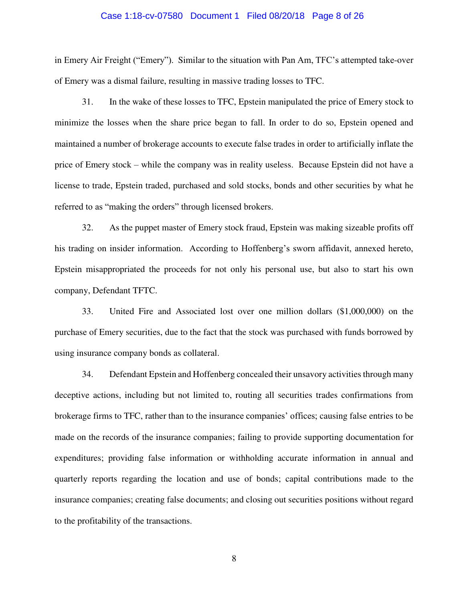### Case 1:18-cv-07580 Document 1 Filed 08/20/18 Page 8 of 26

in Emery Air Freight ("Emery"). Similar to the situation with Pan Am, TFC's attempted take-over of Emery was a dismal failure, resulting in massive trading losses to TFC.

31. In the wake of these losses to TFC, Epstein manipulated the price of Emery stock to minimize the losses when the share price began to fall. In order to do so, Epstein opened and maintained a number of brokerage accounts to execute false trades in order to artificially inflate the price of Emery stock – while the company was in reality useless. Because Epstein did not have a license to trade, Epstein traded, purchased and sold stocks, bonds and other securities by what he referred to as "making the orders" through licensed brokers.

32. As the puppet master of Emery stock fraud, Epstein was making sizeable profits off his trading on insider information. According to Hoffenberg's sworn affidavit, annexed hereto, Epstein misappropriated the proceeds for not only his personal use, but also to start his own company, Defendant TFTC.

33. United Fire and Associated lost over one million dollars (\$1,000,000) on the purchase of Emery securities, due to the fact that the stock was purchased with funds borrowed by using insurance company bonds as collateral.

34. Defendant Epstein and Hoffenberg concealed their unsavory activities through many deceptive actions, including but not limited to, routing all securities trades confirmations from brokerage firms to TFC, rather than to the insurance companies' offices; causing false entries to be made on the records of the insurance companies; failing to provide supporting documentation for expenditures; providing false information or withholding accurate information in annual and quarterly reports regarding the location and use of bonds; capital contributions made to the insurance companies; creating false documents; and closing out securities positions without regard to the profitability of the transactions.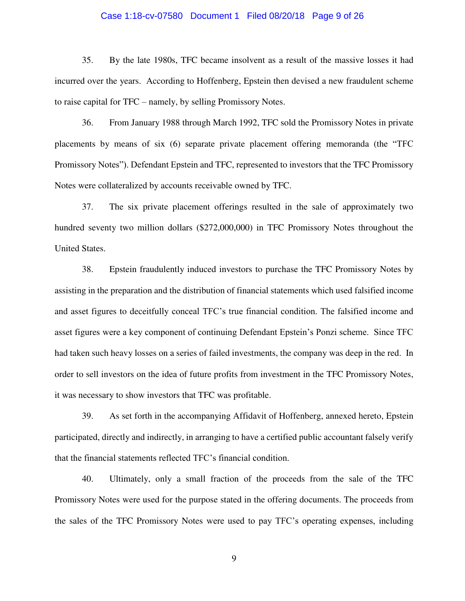### Case 1:18-cv-07580 Document 1 Filed 08/20/18 Page 9 of 26

35. By the late 1980s, TFC became insolvent as a result of the massive losses it had incurred over the years. According to Hoffenberg, Epstein then devised a new fraudulent scheme to raise capital for TFC – namely, by selling Promissory Notes.

36. From January 1988 through March 1992, TFC sold the Promissory Notes in private placements by means of six (6) separate private placement offering memoranda (the "TFC Promissory Notes"). Defendant Epstein and TFC, represented to investors that the TFC Promissory Notes were collateralized by accounts receivable owned by TFC.

37. The six private placement offerings resulted in the sale of approximately two hundred seventy two million dollars (\$272,000,000) in TFC Promissory Notes throughout the United States.

38. Epstein fraudulently induced investors to purchase the TFC Promissory Notes by assisting in the preparation and the distribution of financial statements which used falsified income and asset figures to deceitfully conceal TFC's true financial condition. The falsified income and asset figures were a key component of continuing Defendant Epstein's Ponzi scheme. Since TFC had taken such heavy losses on a series of failed investments, the company was deep in the red. In order to sell investors on the idea of future profits from investment in the TFC Promissory Notes, it was necessary to show investors that TFC was profitable.

39. As set forth in the accompanying Affidavit of Hoffenberg, annexed hereto, Epstein participated, directly and indirectly, in arranging to have a certified public accountant falsely verify that the financial statements reflected TFC's financial condition.

40. Ultimately, only a small fraction of the proceeds from the sale of the TFC Promissory Notes were used for the purpose stated in the offering documents. The proceeds from the sales of the TFC Promissory Notes were used to pay TFC's operating expenses, including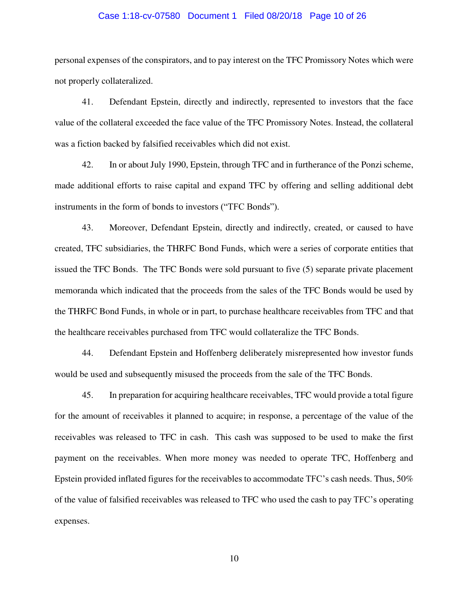### Case 1:18-cv-07580 Document 1 Filed 08/20/18 Page 10 of 26

personal expenses of the conspirators, and to pay interest on the TFC Promissory Notes which were not properly collateralized.

41. Defendant Epstein, directly and indirectly, represented to investors that the face value of the collateral exceeded the face value of the TFC Promissory Notes. Instead, the collateral was a fiction backed by falsified receivables which did not exist.

42. In or about July 1990, Epstein, through TFC and in furtherance of the Ponzi scheme, made additional efforts to raise capital and expand TFC by offering and selling additional debt instruments in the form of bonds to investors ("TFC Bonds").

43. Moreover, Defendant Epstein, directly and indirectly, created, or caused to have created, TFC subsidiaries, the THRFC Bond Funds, which were a series of corporate entities that issued the TFC Bonds. The TFC Bonds were sold pursuant to five (5) separate private placement memoranda which indicated that the proceeds from the sales of the TFC Bonds would be used by the THRFC Bond Funds, in whole or in part, to purchase healthcare receivables from TFC and that the healthcare receivables purchased from TFC would collateralize the TFC Bonds.

44. Defendant Epstein and Hoffenberg deliberately misrepresented how investor funds would be used and subsequently misused the proceeds from the sale of the TFC Bonds.

45. In preparation for acquiring healthcare receivables, TFC would provide a total figure for the amount of receivables it planned to acquire; in response, a percentage of the value of the receivables was released to TFC in cash. This cash was supposed to be used to make the first payment on the receivables. When more money was needed to operate TFC, Hoffenberg and Epstein provided inflated figures for the receivables to accommodate TFC's cash needs. Thus, 50% of the value of falsified receivables was released to TFC who used the cash to pay TFC's operating expenses.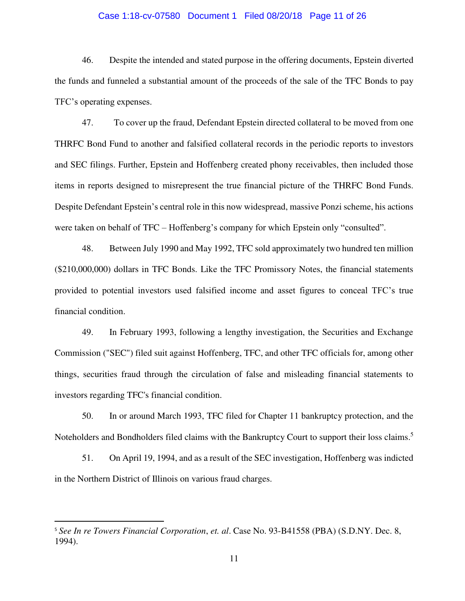# Case 1:18-cv-07580 Document 1 Filed 08/20/18 Page 11 of 26

46. Despite the intended and stated purpose in the offering documents, Epstein diverted the funds and funneled a substantial amount of the proceeds of the sale of the TFC Bonds to pay TFC's operating expenses.

47. To cover up the fraud, Defendant Epstein directed collateral to be moved from one THRFC Bond Fund to another and falsified collateral records in the periodic reports to investors and SEC filings. Further, Epstein and Hoffenberg created phony receivables, then included those items in reports designed to misrepresent the true financial picture of the THRFC Bond Funds. Despite Defendant Epstein's central role in this now widespread, massive Ponzi scheme, his actions were taken on behalf of TFC – Hoffenberg's company for which Epstein only "consulted".

48. Between July 1990 and May 1992, TFC sold approximately two hundred ten million (\$210,000,000) dollars in TFC Bonds. Like the TFC Promissory Notes, the financial statements provided to potential investors used falsified income and asset figures to conceal TFC's true financial condition.

49. In February 1993, following a lengthy investigation, the Securities and Exchange Commission ("SEC") filed suit against Hoffenberg, TFC, and other TFC officials for, among other things, securities fraud through the circulation of false and misleading financial statements to investors regarding TFC's financial condition.

50. In or around March 1993, TFC filed for Chapter 11 bankruptcy protection, and the Noteholders and Bondholders filed claims with the Bankruptcy Court to support their loss claims.<sup>5</sup>

51. On April 19, 1994, and as a result of the SEC investigation, Hoffenberg was indicted in the Northern District of Illinois on various fraud charges.

l

<sup>5</sup> *See In re Towers Financial Corporation*, *et. al*. Case No. 93-B41558 (PBA) (S.D.NY. Dec. 8, 1994).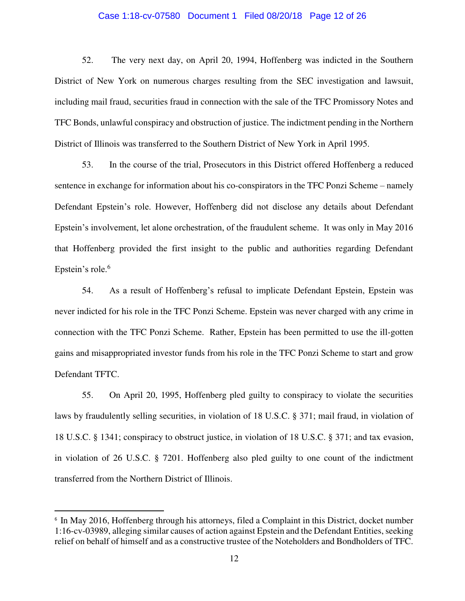#### Case 1:18-cv-07580 Document 1 Filed 08/20/18 Page 12 of 26

52. The very next day, on April 20, 1994, Hoffenberg was indicted in the Southern District of New York on numerous charges resulting from the SEC investigation and lawsuit, including mail fraud, securities fraud in connection with the sale of the TFC Promissory Notes and TFC Bonds, unlawful conspiracy and obstruction of justice. The indictment pending in the Northern District of Illinois was transferred to the Southern District of New York in April 1995.

53. In the course of the trial, Prosecutors in this District offered Hoffenberg a reduced sentence in exchange for information about his co-conspirators in the TFC Ponzi Scheme – namely Defendant Epstein's role. However, Hoffenberg did not disclose any details about Defendant Epstein's involvement, let alone orchestration, of the fraudulent scheme. It was only in May 2016 that Hoffenberg provided the first insight to the public and authorities regarding Defendant Epstein's role.<sup>6</sup>

54. As a result of Hoffenberg's refusal to implicate Defendant Epstein, Epstein was never indicted for his role in the TFC Ponzi Scheme. Epstein was never charged with any crime in connection with the TFC Ponzi Scheme. Rather, Epstein has been permitted to use the ill-gotten gains and misappropriated investor funds from his role in the TFC Ponzi Scheme to start and grow Defendant TFTC.

55. On April 20, 1995, Hoffenberg pled guilty to conspiracy to violate the securities laws by fraudulently selling securities, in violation of 18 U.S.C. § 371; mail fraud, in violation of 18 U.S.C. § 1341; conspiracy to obstruct justice, in violation of 18 U.S.C. § 371; and tax evasion, in violation of 26 U.S.C. § 7201. Hoffenberg also pled guilty to one count of the indictment transferred from the Northern District of Illinois.

l

<sup>&</sup>lt;sup>6</sup> In May 2016, Hoffenberg through his attorneys, filed a Complaint in this District, docket number 1:16-cv-03989, alleging similar causes of action against Epstein and the Defendant Entities, seeking relief on behalf of himself and as a constructive trustee of the Noteholders and Bondholders of TFC.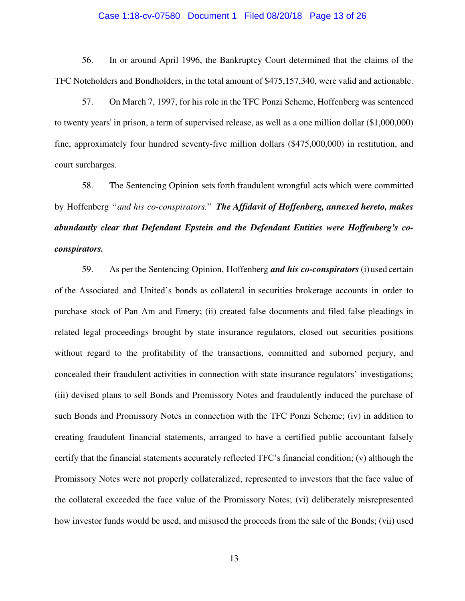#### Case 1:18-cv-07580 Document 1 Filed 08/20/18 Page 13 of 26

56. In or around April 1996, the Bankruptcy Court determined that the claims of the TFC Noteholders and Bondholders, in the total amount of \$475,157,340, were valid and actionable.

57. On March 7, 1997, for his role in the TFC Ponzi Scheme, Hoffenberg was sentenced to twenty years' in prison, a term of supervised release, as well as a one million dollar (\$1,000,000) fine, approximately four hundred seventy-five million dollars (\$475,000,000) in restitution, and court surcharges.

58. The Sentencing Opinion sets forth fraudulent wrongful acts which were committed by Hoffenberg "*and his co-conspirators.*" *The Affidavit of Hoffenberg, annexed hereto, makes abundantly clear that Defendant Epstein and the Defendant Entities were Hoffenberg's coconspirators.*

59. As per the Sentencing Opinion, Hoffenberg *and his co-conspirators* (i) used certain of the Associated and United's bonds as collateral in securities brokerage accounts in order to purchase stock of Pan Am and Emery; (ii) created false documents and filed false pleadings in related legal proceedings brought by state insurance regulators, closed out securities positions without regard to the profitability of the transactions, committed and suborned perjury, and concealed their fraudulent activities in connection with state insurance regulators' investigations; (iii) devised plans to sell Bonds and Promissory Notes and fraudulently induced the purchase of such Bonds and Promissory Notes in connection with the TFC Ponzi Scheme; (iv) in addition to creating fraudulent financial statements, arranged to have a certified public accountant falsely certify that the financial statements accurately reflected TFC's financial condition; (v) although the Promissory Notes were not properly collateralized, represented to investors that the face value of the collateral exceeded the face value of the Promissory Notes; (vi) deliberately misrepresented how investor funds would be used, and misused the proceeds from the sale of the Bonds; (vii) used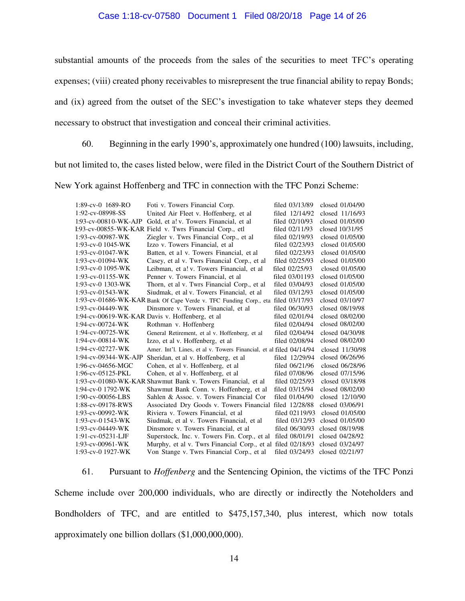### Case 1:18-cv-07580 Document 1 Filed 08/20/18 Page 14 of 26

substantial amounts of the proceeds from the sales of the securities to meet TFC's operating expenses; (viii) created phony receivables to misrepresent the true financial ability to repay Bonds; and (ix) agreed from the outset of the SEC's investigation to take whatever steps they deemed necessary to obstruct that investigation and conceal their criminal activities.

60. Beginning in the early 1990's, approximately one hundred (100) lawsuits, including, but not limited to, the cases listed below, were filed in the District Court of the Southern District of New York against Hoffenberg and TFC in connection with the TFC Ponzi Scheme:

| $1:89$ -cv-0 $1689$ -RO | Foti v. Towers Financial Corp.                                                   | filed 03/13/89 | closed 01/04/90 |
|-------------------------|----------------------------------------------------------------------------------|----------------|-----------------|
| 1:92-cv-08998-SS        | United Air Fleet v. Hoffenberg, et al.                                           | filed 12/14/92 | closed 11/16/93 |
| 1:93-cv-00810-WK-AJP    | Gold, et a! v. Towers Financial, et al.                                          | filed 02/10/93 | closed 01/05/00 |
|                         | I:93-cv-00855-WK-KAR Field v. Twrs Financial Corp., etl                          | filed 02/11/93 | closed 10/31/95 |
| $1:93$ -cv-00987-WK     | Ziegler v. Twrs Financial Corp., et al.                                          | filed 02/19/93 | closed 01/05/00 |
| 1:93-cv-0 $1045-WK$     | Izzo v. Towers Financial, et al                                                  | filed 02/23/93 | closed 01/05/00 |
| 1:93-cv-01047-WK        | Batten, et al v. Towers Financial, et al.                                        | filed 02/23/93 | closed 01/05/00 |
| $1:93$ -cv-01094-WK     | Casey, et al v. Twrs Financial Corp., et al                                      | filed 02/25/93 | closed 01/05/00 |
| $1:93$ -cv-0 1095-WK    | Leibman, et a! v. Towers Financial, et al                                        | filed 02/25/93 | closed 01/05/00 |
| $1:93$ -cv-01155-WK     | Penner v. Towers Financial, et al.                                               | filed 03/01193 | closed 01/05/00 |
| 1:93-cv-0 1303-WK       | Thorn, et al v. Twrs Financial Corp., et al                                      | filed 03/04/93 | closed 01/05/00 |
| $1:93$ -cv-01543-WK     | Siudmak, et al v. Towers Financial, et al                                        | filed 03/12/93 | closed 01/05/00 |
|                         | 1:93-cv-01686-WK-KAR Bank Of Cape Verde v. TFC Funding Corp., eta filed 03/17/93 |                | closed 03/10/97 |
| 1:93-cv-04449-WK        | Dinsmore v. Towers Financial, et al                                              | filed 06/30/93 | closed 08/19/98 |
|                         | 1:94-cv-00619-WK-KAR Davis v. Hoffenberg, et al                                  | filed 02/01/94 | closed 08/02/00 |
| 1:94-cv-00724-WK        | Rothman v. Hoffenberg                                                            | filed 02/04/94 | closed 08/02/00 |
| 1:94-cv-00725-WK        | General Retirement, et al v. Hoffenberg, et al                                   | filed 02/04/94 | closed 04/30/98 |
| 1:94-cv-00814-WK        | Izzo, et al v. Hoffenberg, et al                                                 | filed 02/08/94 | closed 08/02/00 |
| $1:94$ -cv-02727-WK     | Amer. Int'l. Lines, et al v. Towers Financial, et al filed 04/14/94              |                | closed 11/30/98 |
| 1:94-cv-09344-WK-AJP    | Sheridan, et al v. Hoffenberg, et al                                             | filed 12/29/94 | closed 06/26/96 |
| 1:96-cv-04656-MGC       | Cohen, et al v. Hoffenberg, et al                                                | filed 06/21/96 | closed 06/28/96 |
| 1:96-cv-05125-PKL       | Cohen, et al v. Hoffenberg, et al                                                | filed 07/08/96 | closed 07/15/96 |
|                         | 1:93-cv-01080-WK-KAR Shawmut Bank v. Towers Financial, et al                     | filed 02/25/93 | closed 03/18/98 |
| 1:94-cv-0 1792-WK       | Shawmut Bank Conn. v. Hoffenberg, et al                                          | filed 03/15/94 | closed 08/02/00 |
| 1:90-cv-00056-LBS       | Sahlen & Assoc. v. Towers Financial Cor                                          | filed 01/04/90 | closed 12/10/90 |
| 1:88-cv-09178-RWS       | Associated Dry Goods v. Towers Financial filed 12/28/88                          |                | closed 03/06/91 |
| 1:93-cv-00992-WK        | Riviera v. Towers Financial, et al.                                              | filed 02119/93 | closed 01/05/00 |
| 1:93-cv-01543-WK        | Siudmak, et al v. Towers Financial, et al                                        | filed 03/12/93 | closed 01/05/00 |
| 1:93-cv-04449-WK        | Dinsmore v. Towers Financial, et al.                                             | filed 06/30/93 | closed 08/19/98 |
| 1:91-cv-05231-LJF       | Superstock, Inc. v. Towers Fin. Corp., et al.                                    | filed 08/01/91 | closed 04/28/92 |
| 1:93-cv-00961-WK        | Murphy, et al v. Twrs Financial Corp., et al filed 02/18/93                      |                | closed 03/24/97 |
| 1:93-cv-0 1927-WK       | Von Stange v. Twrs Financial Corp., et al.                                       | filed 03/24/93 | closed 02/21/97 |

61. Pursuant to *Hoffenberg* and the Sentencing Opinion, the victims of the TFC Ponzi Scheme include over 200,000 individuals, who are directly or indirectly the Noteholders and Bondholders of TFC, and are entitled to \$475,157,340, plus interest, which now totals approximately one billion dollars (\$1,000,000,000).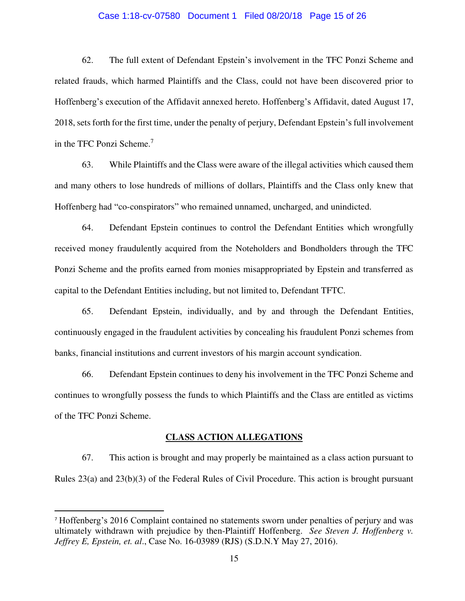# Case 1:18-cv-07580 Document 1 Filed 08/20/18 Page 15 of 26

62. The full extent of Defendant Epstein's involvement in the TFC Ponzi Scheme and related frauds, which harmed Plaintiffs and the Class, could not have been discovered prior to Hoffenberg's execution of the Affidavit annexed hereto. Hoffenberg's Affidavit, dated August 17, 2018, sets forth for the first time, under the penalty of perjury, Defendant Epstein's full involvement in the TFC Ponzi Scheme.<sup>7</sup>

63. While Plaintiffs and the Class were aware of the illegal activities which caused them and many others to lose hundreds of millions of dollars, Plaintiffs and the Class only knew that Hoffenberg had "co-conspirators" who remained unnamed, uncharged, and unindicted.

64. Defendant Epstein continues to control the Defendant Entities which wrongfully received money fraudulently acquired from the Noteholders and Bondholders through the TFC Ponzi Scheme and the profits earned from monies misappropriated by Epstein and transferred as capital to the Defendant Entities including, but not limited to, Defendant TFTC.

65. Defendant Epstein, individually, and by and through the Defendant Entities, continuously engaged in the fraudulent activities by concealing his fraudulent Ponzi schemes from banks, financial institutions and current investors of his margin account syndication.

66. Defendant Epstein continues to deny his involvement in the TFC Ponzi Scheme and continues to wrongfully possess the funds to which Plaintiffs and the Class are entitled as victims of the TFC Ponzi Scheme.

#### **CLASS ACTION ALLEGATIONS**

67. This action is brought and may properly be maintained as a class action pursuant to Rules 23(a) and 23(b)(3) of the Federal Rules of Civil Procedure. This action is brought pursuant

l

<sup>7</sup> Hoffenberg's 2016 Complaint contained no statements sworn under penalties of perjury and was ultimately withdrawn with prejudice by then-Plaintiff Hoffenberg. *See Steven J. Hoffenberg v. Jeffrey E, Epstein, et. al*., Case No. 16-03989 (RJS) (S.D.N.Y May 27, 2016).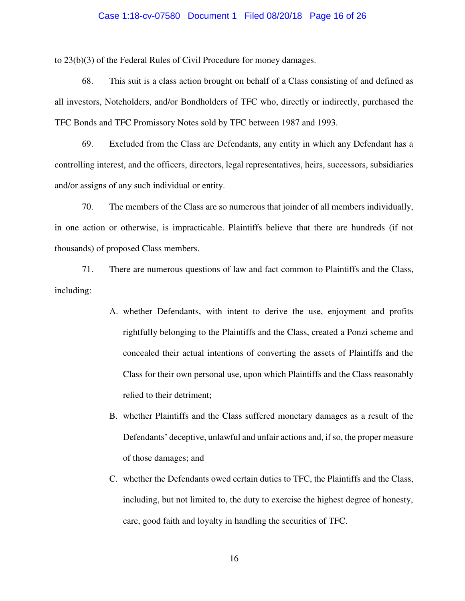#### Case 1:18-cv-07580 Document 1 Filed 08/20/18 Page 16 of 26

to 23(b)(3) of the Federal Rules of Civil Procedure for money damages.

68. This suit is a class action brought on behalf of a Class consisting of and defined as all investors, Noteholders, and/or Bondholders of TFC who, directly or indirectly, purchased the TFC Bonds and TFC Promissory Notes sold by TFC between 1987 and 1993.

69. Excluded from the Class are Defendants, any entity in which any Defendant has a controlling interest, and the officers, directors, legal representatives, heirs, successors, subsidiaries and/or assigns of any such individual or entity.

70. The members of the Class are so numerous that joinder of all members individually, in one action or otherwise, is impracticable. Plaintiffs believe that there are hundreds (if not thousands) of proposed Class members.

71. There are numerous questions of law and fact common to Plaintiffs and the Class, including:

- A. whether Defendants, with intent to derive the use, enjoyment and profits rightfully belonging to the Plaintiffs and the Class, created a Ponzi scheme and concealed their actual intentions of converting the assets of Plaintiffs and the Class for their own personal use, upon which Plaintiffs and the Class reasonably relied to their detriment;
- B. whether Plaintiffs and the Class suffered monetary damages as a result of the Defendants' deceptive, unlawful and unfair actions and, if so, the proper measure of those damages; and
- C. whether the Defendants owed certain duties to TFC, the Plaintiffs and the Class, including, but not limited to, the duty to exercise the highest degree of honesty, care, good faith and loyalty in handling the securities of TFC.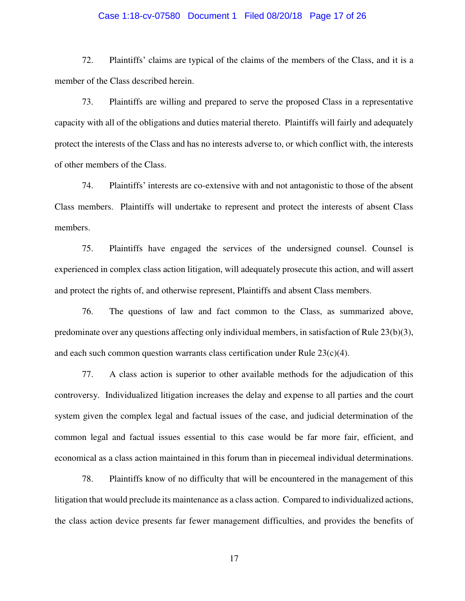### Case 1:18-cv-07580 Document 1 Filed 08/20/18 Page 17 of 26

72. Plaintiffs' claims are typical of the claims of the members of the Class, and it is a member of the Class described herein.

73. Plaintiffs are willing and prepared to serve the proposed Class in a representative capacity with all of the obligations and duties material thereto. Plaintiffs will fairly and adequately protect the interests of the Class and has no interests adverse to, or which conflict with, the interests of other members of the Class.

74. Plaintiffs' interests are co-extensive with and not antagonistic to those of the absent Class members. Plaintiffs will undertake to represent and protect the interests of absent Class members.

75. Plaintiffs have engaged the services of the undersigned counsel. Counsel is experienced in complex class action litigation, will adequately prosecute this action, and will assert and protect the rights of, and otherwise represent, Plaintiffs and absent Class members.

76. The questions of law and fact common to the Class, as summarized above, predominate over any questions affecting only individual members, in satisfaction of Rule 23(b)(3), and each such common question warrants class certification under Rule  $23(c)(4)$ .

77. A class action is superior to other available methods for the adjudication of this controversy. Individualized litigation increases the delay and expense to all parties and the court system given the complex legal and factual issues of the case, and judicial determination of the common legal and factual issues essential to this case would be far more fair, efficient, and economical as a class action maintained in this forum than in piecemeal individual determinations.

78. Plaintiffs know of no difficulty that will be encountered in the management of this litigation that would preclude its maintenance as a class action. Compared to individualized actions, the class action device presents far fewer management difficulties, and provides the benefits of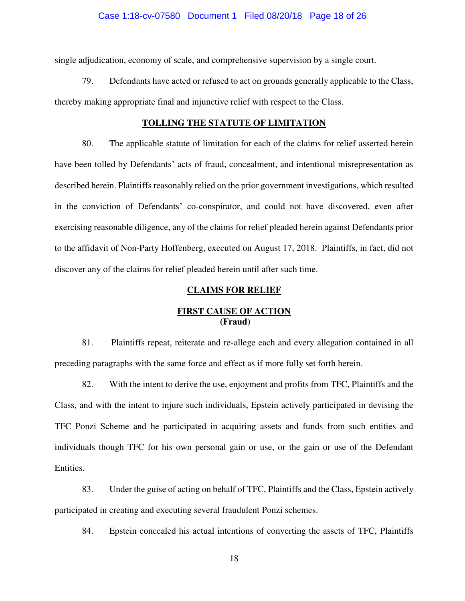#### Case 1:18-cv-07580 Document 1 Filed 08/20/18 Page 18 of 26

single adjudication, economy of scale, and comprehensive supervision by a single court.

79. Defendants have acted or refused to act on grounds generally applicable to the Class, thereby making appropriate final and injunctive relief with respect to the Class.

### **TOLLING THE STATUTE OF LIMITATION**

80. The applicable statute of limitation for each of the claims for relief asserted herein have been tolled by Defendants' acts of fraud, concealment, and intentional misrepresentation as described herein. Plaintiffs reasonably relied on the prior government investigations, which resulted in the conviction of Defendants' co-conspirator, and could not have discovered, even after exercising reasonable diligence, any of the claims for relief pleaded herein against Defendants prior to the affidavit of Non-Party Hoffenberg, executed on August 17, 2018. Plaintiffs, in fact, did not discover any of the claims for relief pleaded herein until after such time.

## **CLAIMS FOR RELIEF**

## **FIRST CAUSE OF ACTION (Fraud)**

81. Plaintiffs repeat, reiterate and re-allege each and every allegation contained in all preceding paragraphs with the same force and effect as if more fully set forth herein.

82. With the intent to derive the use, enjoyment and profits from TFC, Plaintiffs and the Class, and with the intent to injure such individuals, Epstein actively participated in devising the TFC Ponzi Scheme and he participated in acquiring assets and funds from such entities and individuals though TFC for his own personal gain or use, or the gain or use of the Defendant Entities.

83. Under the guise of acting on behalf of TFC, Plaintiffs and the Class, Epstein actively participated in creating and executing several fraudulent Ponzi schemes.

84. Epstein concealed his actual intentions of converting the assets of TFC, Plaintiffs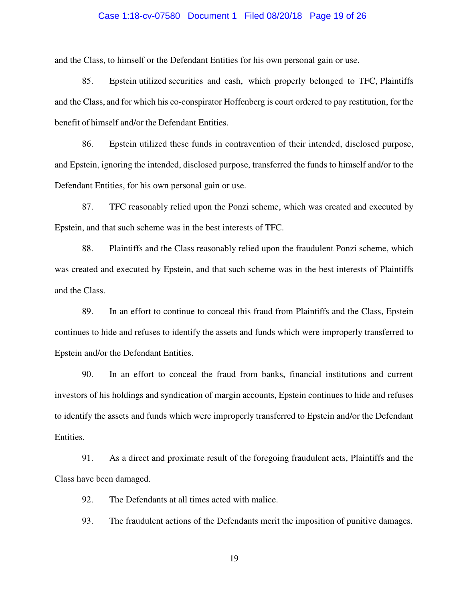### Case 1:18-cv-07580 Document 1 Filed 08/20/18 Page 19 of 26

and the Class, to himself or the Defendant Entities for his own personal gain or use.

85. Epstein utilized securities and cash, which properly belonged to TFC, Plaintiffs and the Class, and for which his co-conspirator Hoffenberg is court ordered to pay restitution, for the benefit of himself and/or the Defendant Entities.

86. Epstein utilized these funds in contravention of their intended, disclosed purpose, and Epstein, ignoring the intended, disclosed purpose, transferred the funds to himself and/or to the Defendant Entities, for his own personal gain or use.

87. TFC reasonably relied upon the Ponzi scheme, which was created and executed by Epstein, and that such scheme was in the best interests of TFC.

88. Plaintiffs and the Class reasonably relied upon the fraudulent Ponzi scheme, which was created and executed by Epstein, and that such scheme was in the best interests of Plaintiffs and the Class.

89. In an effort to continue to conceal this fraud from Plaintiffs and the Class, Epstein continues to hide and refuses to identify the assets and funds which were improperly transferred to Epstein and/or the Defendant Entities.

90. In an effort to conceal the fraud from banks, financial institutions and current investors of his holdings and syndication of margin accounts, Epstein continues to hide and refuses to identify the assets and funds which were improperly transferred to Epstein and/or the Defendant Entities.

91. As a direct and proximate result of the foregoing fraudulent acts, Plaintiffs and the Class have been damaged.

92. The Defendants at all times acted with malice.

93. The fraudulent actions of the Defendants merit the imposition of punitive damages.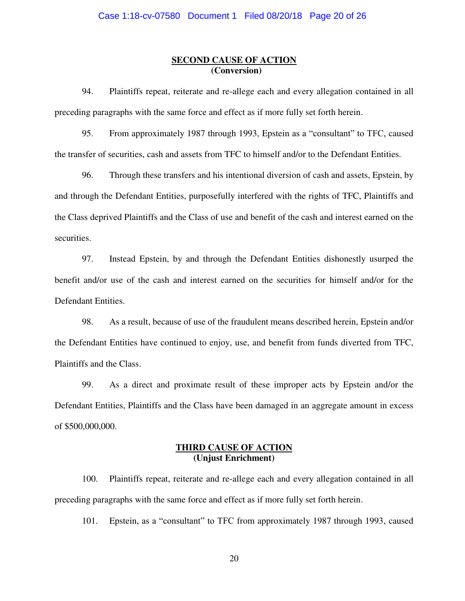## **SECOND CAUSE OF ACTION (Conversion)**

94. Plaintiffs repeat, reiterate and re-allege each and every allegation contained in all preceding paragraphs with the same force and effect as if more fully set forth herein.

95. From approximately 1987 through 1993, Epstein as a "consultant" to TFC, caused the transfer of securities, cash and assets from TFC to himself and/or to the Defendant Entities.

96. Through these transfers and his intentional diversion of cash and assets, Epstein, by and through the Defendant Entities, purposefully interfered with the rights of TFC, Plaintiffs and the Class deprived Plaintiffs and the Class of use and benefit of the cash and interest earned on the securities.

97. Instead Epstein, by and through the Defendant Entities dishonestly usurped the benefit and/or use of the cash and interest earned on the securities for himself and/or for the Defendant Entities.

98. As a result, because of use of the fraudulent means described herein, Epstein and/or the Defendant Entities have continued to enjoy, use, and benefit from funds diverted from TFC, Plaintiffs and the Class.

99. As a direct and proximate result of these improper acts by Epstein and/or the Defendant Entities, Plaintiffs and the Class have been damaged in an aggregate amount in excess of \$500,000,000.

## **THIRD CAUSE OF ACTION (Unjust Enrichment)**

100. Plaintiffs repeat, reiterate and re-allege each and every allegation contained in all preceding paragraphs with the same force and effect as if more fully set forth herein.

101. Epstein, as a "consultant" to TFC from approximately 1987 through 1993, caused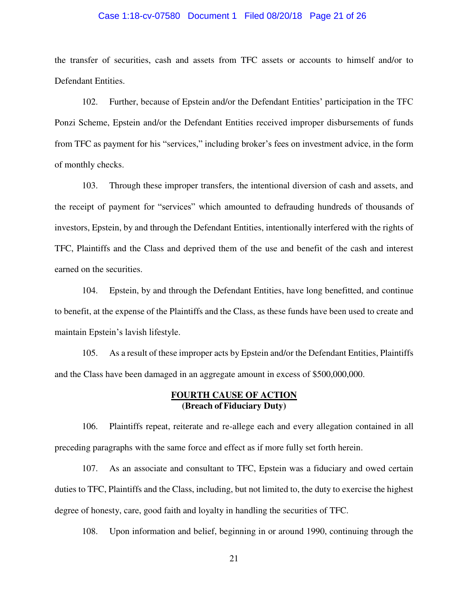### Case 1:18-cv-07580 Document 1 Filed 08/20/18 Page 21 of 26

the transfer of securities, cash and assets from TFC assets or accounts to himself and/or to Defendant Entities.

102. Further, because of Epstein and/or the Defendant Entities' participation in the TFC Ponzi Scheme, Epstein and/or the Defendant Entities received improper disbursements of funds from TFC as payment for his "services," including broker's fees on investment advice, in the form of monthly checks.

103. Through these improper transfers, the intentional diversion of cash and assets, and the receipt of payment for "services" which amounted to defrauding hundreds of thousands of investors, Epstein, by and through the Defendant Entities, intentionally interfered with the rights of TFC, Plaintiffs and the Class and deprived them of the use and benefit of the cash and interest earned on the securities.

104. Epstein, by and through the Defendant Entities, have long benefitted, and continue to benefit, at the expense of the Plaintiffs and the Class, as these funds have been used to create and maintain Epstein's lavish lifestyle.

105. As a result of these improper acts by Epstein and/or the Defendant Entities, Plaintiffs and the Class have been damaged in an aggregate amount in excess of \$500,000,000.

## **FOURTH CAUSE OF ACTION (Breach of Fiduciary Duty)**

106. Plaintiffs repeat, reiterate and re-allege each and every allegation contained in all preceding paragraphs with the same force and effect as if more fully set forth herein.

107. As an associate and consultant to TFC, Epstein was a fiduciary and owed certain duties to TFC, Plaintiffs and the Class, including, but not limited to, the duty to exercise the highest degree of honesty, care, good faith and loyalty in handling the securities of TFC.

108. Upon information and belief, beginning in or around 1990, continuing through the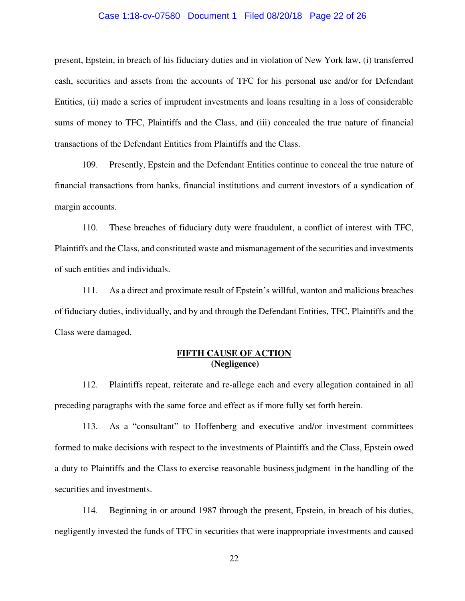### Case 1:18-cv-07580 Document 1 Filed 08/20/18 Page 22 of 26

present, Epstein, in breach of his fiduciary duties and in violation of New York law, (i) transferred cash, securities and assets from the accounts of TFC for his personal use and/or for Defendant Entities, (ii) made a series of imprudent investments and loans resulting in a loss of considerable sums of money to TFC, Plaintiffs and the Class, and (iii) concealed the true nature of financial transactions of the Defendant Entities from Plaintiffs and the Class.

109. Presently, Epstein and the Defendant Entities continue to conceal the true nature of financial transactions from banks, financial institutions and current investors of a syndication of margin accounts.

110. These breaches of fiduciary duty were fraudulent, a conflict of interest with TFC, Plaintiffs and the Class, and constituted waste and mismanagement of the securities and investments of such entities and individuals.

111. As a direct and proximate result of Epstein's willful, wanton and malicious breaches of fiduciary duties, individually, and by and through the Defendant Entities, TFC, Plaintiffs and the Class were damaged.

## **FIFTH CAUSE OF ACTION (Negligence)**

112. Plaintiffs repeat, reiterate and re-allege each and every allegation contained in all preceding paragraphs with the same force and effect as if more fully set forth herein.

113. As a "consultant" to Hoffenberg and executive and/or investment committees formed to make decisions with respect to the investments of Plaintiffs and the Class, Epstein owed a duty to Plaintiffs and the Class to exercise reasonable business judgment in the handling of the securities and investments.

114. Beginning in or around 1987 through the present, Epstein, in breach of his duties, negligently invested the funds of TFC in securities that were inappropriate investments and caused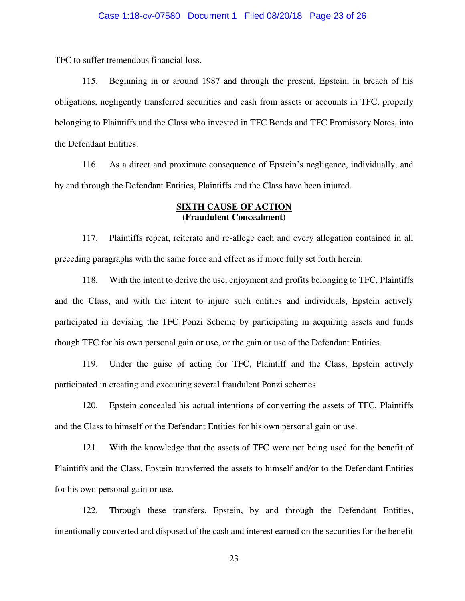TFC to suffer tremendous financial loss.

115. Beginning in or around 1987 and through the present, Epstein, in breach of his obligations, negligently transferred securities and cash from assets or accounts in TFC, properly belonging to Plaintiffs and the Class who invested in TFC Bonds and TFC Promissory Notes, into the Defendant Entities.

116. As a direct and proximate consequence of Epstein's negligence, individually, and by and through the Defendant Entities, Plaintiffs and the Class have been injured.

### **SIXTH CAUSE OF ACTION (Fraudulent Concealment)**

117. Plaintiffs repeat, reiterate and re-allege each and every allegation contained in all preceding paragraphs with the same force and effect as if more fully set forth herein.

118. With the intent to derive the use, enjoyment and profits belonging to TFC, Plaintiffs and the Class, and with the intent to injure such entities and individuals, Epstein actively participated in devising the TFC Ponzi Scheme by participating in acquiring assets and funds though TFC for his own personal gain or use, or the gain or use of the Defendant Entities.

119. Under the guise of acting for TFC, Plaintiff and the Class, Epstein actively participated in creating and executing several fraudulent Ponzi schemes.

120. Epstein concealed his actual intentions of converting the assets of TFC, Plaintiffs and the Class to himself or the Defendant Entities for his own personal gain or use.

121. With the knowledge that the assets of TFC were not being used for the benefit of Plaintiffs and the Class, Epstein transferred the assets to himself and/or to the Defendant Entities for his own personal gain or use.

122. Through these transfers, Epstein, by and through the Defendant Entities, intentionally converted and disposed of the cash and interest earned on the securities for the benefit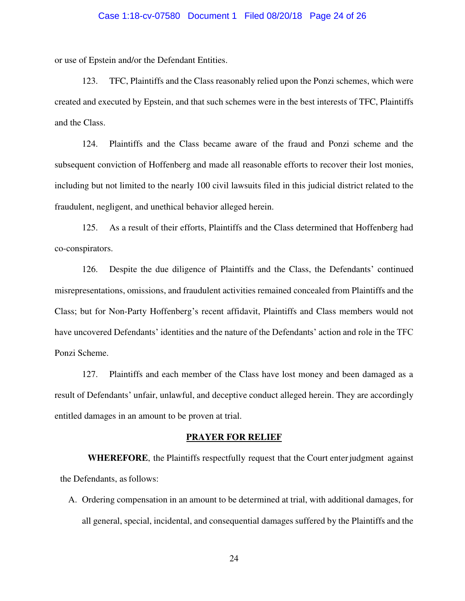### Case 1:18-cv-07580 Document 1 Filed 08/20/18 Page 24 of 26

or use of Epstein and/or the Defendant Entities.

123. TFC, Plaintiffs and the Class reasonably relied upon the Ponzi schemes, which were created and executed by Epstein, and that such schemes were in the best interests of TFC, Plaintiffs and the Class.

124. Plaintiffs and the Class became aware of the fraud and Ponzi scheme and the subsequent conviction of Hoffenberg and made all reasonable efforts to recover their lost monies, including but not limited to the nearly 100 civil lawsuits filed in this judicial district related to the fraudulent, negligent, and unethical behavior alleged herein.

125. As a result of their efforts, Plaintiffs and the Class determined that Hoffenberg had co-conspirators.

126. Despite the due diligence of Plaintiffs and the Class, the Defendants' continued misrepresentations, omissions, and fraudulent activities remained concealed from Plaintiffs and the Class; but for Non-Party Hoffenberg's recent affidavit, Plaintiffs and Class members would not have uncovered Defendants' identities and the nature of the Defendants' action and role in the TFC Ponzi Scheme.

127. Plaintiffs and each member of the Class have lost money and been damaged as a result of Defendants' unfair, unlawful, and deceptive conduct alleged herein. They are accordingly entitled damages in an amount to be proven at trial.

#### **PRAYER FOR RELIEF**

**WHEREFORE**, the Plaintiffs respectfully request that the Court enter judgment against the Defendants, as follows:

A. Ordering compensation in an amount to be determined at trial, with additional damages, for all general, special, incidental, and consequential damages suffered by the Plaintiffs and the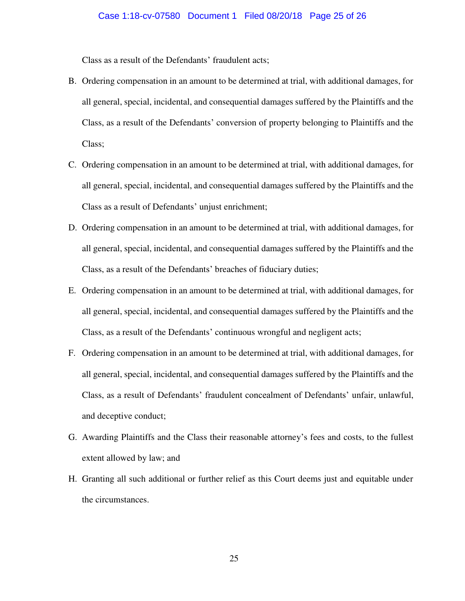Class as a result of the Defendants' fraudulent acts;

- B. Ordering compensation in an amount to be determined at trial, with additional damages, for all general, special, incidental, and consequential damages suffered by the Plaintiffs and the Class, as a result of the Defendants' conversion of property belonging to Plaintiffs and the Class;
- C. Ordering compensation in an amount to be determined at trial, with additional damages, for all general, special, incidental, and consequential damages suffered by the Plaintiffs and the Class as a result of Defendants' unjust enrichment;
- D. Ordering compensation in an amount to be determined at trial, with additional damages, for all general, special, incidental, and consequential damages suffered by the Plaintiffs and the Class, as a result of the Defendants' breaches of fiduciary duties;
- E. Ordering compensation in an amount to be determined at trial, with additional damages, for all general, special, incidental, and consequential damages suffered by the Plaintiffs and the Class, as a result of the Defendants' continuous wrongful and negligent acts;
- F. Ordering compensation in an amount to be determined at trial, with additional damages, for all general, special, incidental, and consequential damages suffered by the Plaintiffs and the Class, as a result of Defendants' fraudulent concealment of Defendants' unfair, unlawful, and deceptive conduct;
- G. Awarding Plaintiffs and the Class their reasonable attorney's fees and costs, to the fullest extent allowed by law; and
- H. Granting all such additional or further relief as this Court deems just and equitable under the circumstances.